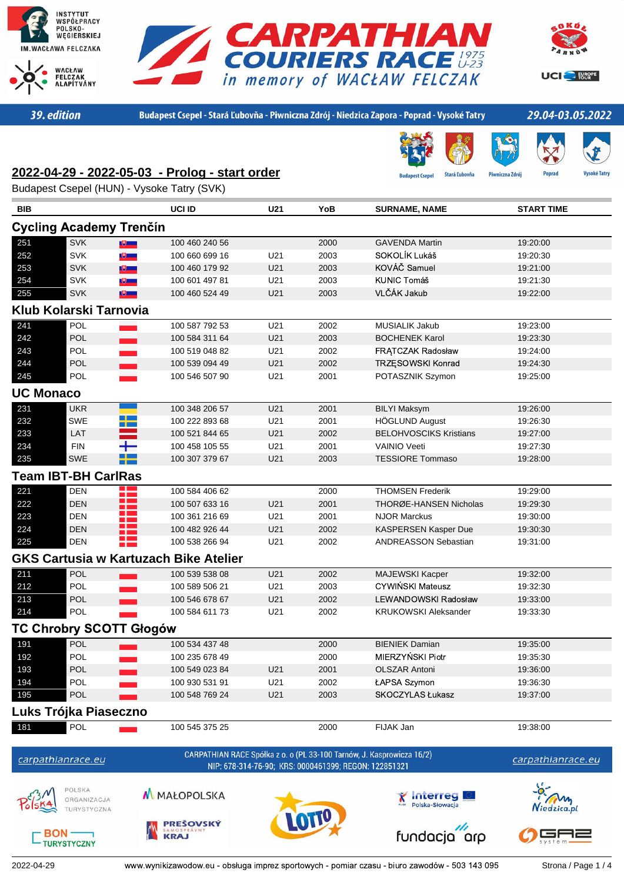





UCI<sup>-</sup>FURGPE

39. edition

Budapest Csepel - Stará Ľubovňa - Piwniczna Zdrój - Niedzica Zapora - Poprad - Vysoké Tatry

### 29.04-03.05.2022

Piwniczna Zdrój

**Stará Ľubovňa** 

# **2022-04-29 - 2022-05-03 - Prolog - start order**

Budapest Csepel (HUN) - Vysoke Tatry (SVK)

| <b>BIB</b>                     |                                | UCI ID                                       | U21 | YoB                                                   | <b>SURNAME, NAME</b>                                                  | <b>START TIME</b> |  |
|--------------------------------|--------------------------------|----------------------------------------------|-----|-------------------------------------------------------|-----------------------------------------------------------------------|-------------------|--|
| <b>Cycling Academy Trenčín</b> |                                |                                              |     |                                                       |                                                                       |                   |  |
| 251                            | <b>SVK</b>                     | 100 460 240 56<br>$\mathbb{R}$               |     | 2000                                                  | <b>GAVENDA Martin</b>                                                 | 19:20:00          |  |
| 252                            | <b>SVK</b>                     | 100 660 699 16<br>$\mathbb{U}$               | U21 | 2003                                                  | SOKOLÍK Lukáš                                                         | 19:20:30          |  |
| 253                            | SVK                            | 9 一<br>100 460 179 92                        | U21 | 2003                                                  | KOVÁČ Samuel                                                          | 19:21:00          |  |
| 254                            | <b>SVK</b>                     | 100 601 497 81<br>$\bullet$ .                | U21 | 2003                                                  | <b>KUNIC Tomáš</b>                                                    | 19:21:30          |  |
| 255                            | <b>SVK</b>                     | 9 一<br>100 460 524 49                        | U21 | 2003                                                  | VLČÁK Jakub                                                           | 19:22:00          |  |
|                                | Klub Kolarski Tarnovia         |                                              |     |                                                       |                                                                       |                   |  |
| 241                            | POL                            | 100 587 792 53                               | U21 | 2002                                                  | MUSIALIK Jakub                                                        | 19:23:00          |  |
| 242                            | <b>POL</b>                     | 100 584 311 64                               | U21 | 2003                                                  | <b>BOCHENEK Karol</b>                                                 | 19:23:30          |  |
| 243                            | <b>POL</b>                     | 100 519 048 82                               | U21 | 2002                                                  | FRATCZAK Radosław                                                     | 19:24:00          |  |
| 244                            | POL                            | 100 539 094 49                               | U21 | 2002                                                  | TRZĘSOWSKI Konrad                                                     | 19:24:30          |  |
| 245                            | POL                            | 100 546 507 90                               | U21 | 2001                                                  | POTASZNIK Szymon                                                      | 19:25:00          |  |
| <b>UC Monaco</b>               |                                |                                              |     |                                                       |                                                                       |                   |  |
| 231                            | <b>UKR</b>                     | 100 348 206 57                               | U21 | 2001                                                  | <b>BILYI Maksym</b>                                                   | 19:26:00          |  |
| 232                            | SWE                            | ╋═<br>100 222 893 68                         | U21 | 2001                                                  | <b>HÖGLUND August</b>                                                 | 19:26:30          |  |
| 233                            | LAT                            | 100 521 844 65                               | U21 | 2002                                                  | <b>BELOHVOSCIKS Kristians</b>                                         | 19:27:00          |  |
| 234                            | <b>FIN</b>                     | 100 458 105 55                               | U21 | 2001                                                  | <b>VAINIO Veeti</b>                                                   | 19:27:30          |  |
| 235                            | SWE                            | 100 307 379 67                               | U21 | 2003                                                  | <b>TESSIORE Tommaso</b>                                               | 19:28:00          |  |
|                                | <b>Team IBT-BH CarlRas</b>     |                                              |     |                                                       |                                                                       |                   |  |
| 221                            | <b>DEN</b>                     | Ŧ<br>100 584 406 62                          |     | 2000                                                  | <b>THOMSEN Frederik</b>                                               | 19:29:00          |  |
| 222                            | <b>DEN</b>                     | <b>Contract</b><br>100 507 633 16            | U21 | 2001                                                  | THORØE-HANSEN Nicholas                                                | 19:29:30          |  |
| 223                            | <b>DEN</b>                     | 100 361 216 69                               | U21 | 2001                                                  | <b>NJOR Marckus</b>                                                   | 19:30:00          |  |
| 224                            | DEN                            | 100 482 926 44                               | U21 | 2002                                                  | KASPERSEN Kasper Due                                                  | 19:30:30          |  |
| 225                            | 22<br><b>DEN</b>               | 100 538 266 94                               | U21 | 2002                                                  | <b>ANDREASSON Sebastian</b>                                           | 19:31:00          |  |
|                                |                                | <b>GKS Cartusia w Kartuzach Bike Atelier</b> |     |                                                       |                                                                       |                   |  |
| 211                            | <b>POL</b>                     | 100 539 538 08                               | U21 | 2002                                                  | MAJEWSKI Kacper                                                       | 19:32:00          |  |
| 212                            | POL                            | 100 589 506 21                               | U21 | 2003                                                  | CYWIŃSKI Mateusz                                                      | 19:32:30          |  |
| 213                            | POL                            | 100 546 678 67                               | U21 | 2002                                                  | LEWANDOWSKI Radosław                                                  | 19:33:00          |  |
| 214                            | <b>POL</b>                     | 100 584 611 73                               | U21 | 2002                                                  | <b>KRUKOWSKI Aleksander</b>                                           | 19:33:30          |  |
|                                | <b>TC Chrobry SCOTT Głogów</b> |                                              |     |                                                       |                                                                       |                   |  |
| 191                            | <b>POL</b>                     | 100 534 437 48                               |     | 2000                                                  | <b>BIENIEK Damian</b>                                                 | 19:35:00          |  |
| 192                            | POL                            | 100 235 678 49                               |     | 2000                                                  | MIERZYŃSKI Piotr                                                      | 19:35:30          |  |
| 193                            | <b>POL</b>                     | 100 549 023 84                               | U21 | 2001                                                  | <b>OLSZAR Antoni</b>                                                  | 19:36:00          |  |
| 194                            | POL                            | 100 930 531 91                               | U21 | 2002                                                  | ŁAPSA Szymon                                                          | 19:36:30          |  |
| 195                            | POL                            | 100 548 769 24                               | U21 | 2003                                                  | SKOCZYLAS Łukasz                                                      | 19:37:00          |  |
|                                | Luks Trójka Piaseczno          |                                              |     |                                                       |                                                                       |                   |  |
| 181                            | <b>POL</b>                     | 100 545 375 25                               |     | 2000                                                  | FIJAK Jan                                                             | 19:38:00          |  |
|                                |                                |                                              |     |                                                       |                                                                       |                   |  |
|                                | carpathianrace.eu              |                                              |     | NIP: 678-314-76-90; KRS: 0000461399; REGON: 122851321 | CARPATHIAN RACE Spółka z o. o (PL 33-100 Tarnów, J. Kasprowicza 16/2) | carpathianrace.eu |  |
|                                | POLSKA<br>ORGANIZACJA          | M MAŁOPOLSKA                                 |     |                                                       | Interreg                                                              |                   |  |
|                                | TURYSTYCZNA                    | <b>PRESOVSKÝ</b>                             |     |                                                       | Polska-Słowacja                                                       | liedzica.pl       |  |
|                                | $BON-$<br><b>TURYSTYCZNY</b>   | <b>KRAJ</b>                                  |     |                                                       | fundacja arp                                                          |                   |  |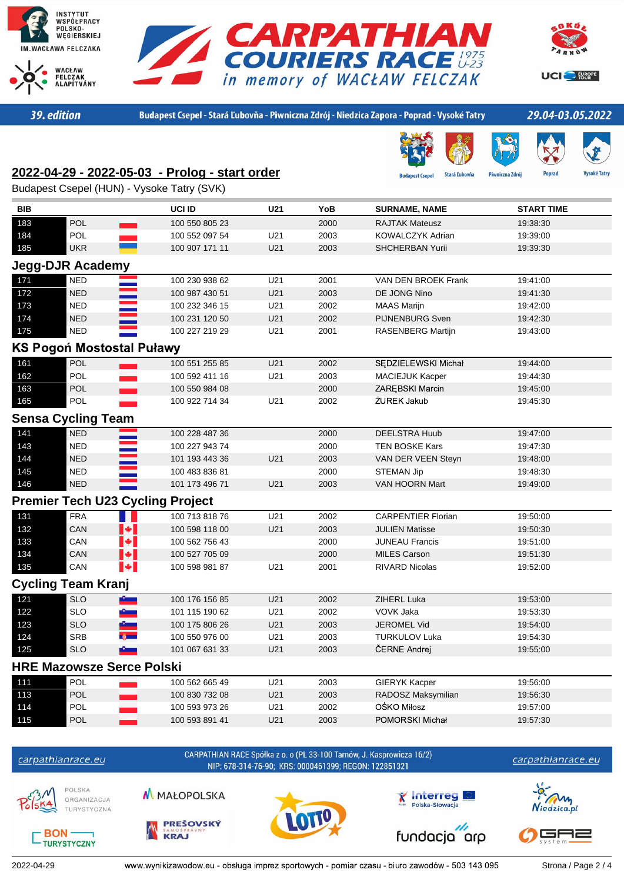





UCI<sup>C</sup>- FORCPE

39. edition

Budapest Csepel - Stará Ľubovňa - Piwniczna Zdrój - Niedzica Zapora - Poprad - Vysoké Tatry

### 29.04-03.05.2022

**Popra** 

# **2022-04-29 - 2022-05-03 - Prolog - start order**

est Csei **Stará Ľubovňa** Piwniczna Zdrój



| Budapest Csepel (HUN) - Vysoke Tatry (SVK) |  |  |  |  |  |
|--------------------------------------------|--|--|--|--|--|
|--------------------------------------------|--|--|--|--|--|

| <b>BIB</b> |                                         | UCI ID         | U21             | YoB  | <b>SURNAME, NAME</b>      | <b>START TIME</b> |
|------------|-----------------------------------------|----------------|-----------------|------|---------------------------|-------------------|
| 183        | POL                                     | 100 550 805 23 |                 | 2000 | <b>RAJTAK Mateusz</b>     | 19:38:30          |
| 184        | POL                                     | 100 552 097 54 | U21             | 2003 | KOWALCZYK Adrian          | 19:39:00          |
| 185        | <b>UKR</b>                              | 100 907 171 11 | U21             | 2003 | <b>SHCHERBAN Yurii</b>    | 19:39:30          |
|            | <b>Jegg-DJR Academy</b>                 |                |                 |      |                           |                   |
| 171        | <b>NED</b>                              | 100 230 938 62 | U21             | 2001 | VAN DEN BROEK Frank       | 19:41:00          |
| 172        | <b>NED</b>                              | 100 987 430 51 | U21             | 2003 | DE JONG Nino              | 19:41:30          |
| 173        | <b>NED</b>                              | 100 232 346 15 | U21             | 2002 | <b>MAAS Marijn</b>        | 19:42:00          |
| 174        | <b>NED</b>                              | 100 231 120 50 | U21             | 2002 | <b>PIJNENBURG Sven</b>    | 19:42:30          |
| 175        | <b>NED</b>                              | 100 227 219 29 | U21             | 2001 | RASENBERG Martijn         | 19:43:00          |
|            | <b>KS Pogoń Mostostal Puławy</b>        |                |                 |      |                           |                   |
| 161        | <b>POL</b>                              | 100 551 255 85 | U21             | 2002 | SEDZIELEWSKI Michał       | 19:44:00          |
| 162        | POL                                     | 100 592 411 16 | U21             | 2003 | <b>MACIEJUK Kacper</b>    | 19:44:30          |
| 163        | POL                                     | 100 550 984 08 |                 | 2000 | ZAREBSKI Marcin           | 19:45:00          |
| 165        | POL                                     | 100 922 714 34 | U21             | 2002 | ŻUREK Jakub               | 19:45:30          |
|            | <b>Sensa Cycling Team</b>               |                |                 |      |                           |                   |
| 141        | <b>NED</b>                              | 100 228 487 36 |                 | 2000 | <b>DEELSTRA Huub</b>      | 19:47:00          |
| 143        | <b>NED</b>                              | 100 227 943 74 |                 | 2000 | <b>TEN BOSKE Kars</b>     | 19:47:30          |
| 144        | NED                                     | 101 193 443 36 | U21             | 2003 | VAN DER VEEN Steyn        | 19:48:00          |
| 145        | <b>NED</b>                              | 100 483 836 81 |                 | 2000 | <b>STEMAN Jip</b>         | 19:48:30          |
| 146        | <b>NED</b>                              | 101 173 496 71 | U <sub>21</sub> | 2003 | <b>VAN HOORN Mart</b>     | 19:49:00          |
|            | <b>Premier Tech U23 Cycling Project</b> |                |                 |      |                           |                   |
| 131        | <b>FRA</b>                              | 100 713 818 76 | U21             | 2002 | <b>CARPENTIER Florian</b> | 19:50:00          |
| 132        | $\blacktriangleright$<br>CAN            | 100 598 118 00 | U21             | 2003 | <b>JULIEN Matisse</b>     | 19:50:30          |
| 133        | $\left  \cdot \right $<br>CAN           | 100 562 756 43 |                 | 2000 | <b>JUNEAU Francis</b>     | 19:51:00          |
| 134        | $\blacktriangleright$<br>CAN            | 100 527 705 09 |                 | 2000 | <b>MILES Carson</b>       | 19:51:30          |
| 135        | $\blacktriangleright$<br>CAN            | 100 598 981 87 | U21             | 2001 | <b>RIVARD Nicolas</b>     | 19:52:00          |
|            | <b>Cycling Team Kranj</b>               |                |                 |      |                           |                   |
| 121        | <b>SLO</b>                              | 100 176 156 85 | U21             | 2002 | ZIHERL Luka               | 19:53:00          |
| 122        | <b>SLO</b><br>$\bullet$                 | 101 115 190 62 | U21             | 2002 | VOVK Jaka                 | 19:53:30          |
| 123        | <b>SLO</b>                              | 100 175 806 26 | U21             | 2003 | <b>JEROMEL Vid</b>        | 19:54:00          |
| 124        | <b>SRB</b>                              | 100 550 976 00 | U21             | 2003 | <b>TURKULOV Luka</b>      | 19:54:30          |
| 125        | <b>SLO</b>                              | 101 067 631 33 | U21             | 2003 | ČERNE Andrej              | 19:55:00          |
|            | <b>HRE Mazowsze Serce Polski</b>        |                |                 |      |                           |                   |
| 111        | POL                                     | 100 562 665 49 | U21             | 2003 | <b>GIERYK Kacper</b>      | 19:56:00          |
| 113        | POL                                     | 100 830 732 08 | U21             | 2003 | RADOSZ Maksymilian        | 19:56:30          |
| 114        | POL                                     | 100 593 973 26 | U21             | 2002 | OŚKO Miłosz               | 19:57:00          |
| 115        | <b>POL</b>                              | 100 593 891 41 | U21             | 2003 | POMORSKI Michał           | 19:57:30          |

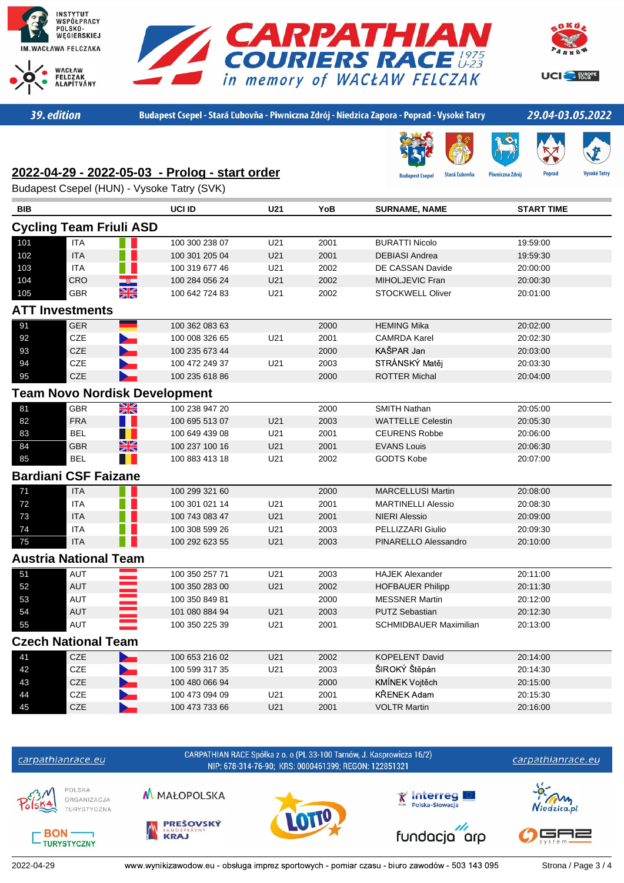





UCI<sup>C</sup>- FORCPE

39. edition

Budapest Csepel - Stará Ľubovňa - Piwniczna Zdrój - Niedzica Zapora - Poprad - Vysoké Tatry

est Cse

**Stará Ľubovňa** 

Piwniczna Zdrój

### 29.04-03.05.2022

**Popra** 

# **2022-04-29 - 2022-05-03 - Prolog - start order**

Budapest Csepel (HUN) - Vysoke Tatry (SVK)

| <b>BIB</b> |                                      | UCI ID         | U21             | YoB  | <b>SURNAME, NAME</b>          | <b>START TIME</b> |
|------------|--------------------------------------|----------------|-----------------|------|-------------------------------|-------------------|
|            | <b>Cycling Team Friuli ASD</b>       |                |                 |      |                               |                   |
| 101        | <b>ITA</b>                           | 100 300 238 07 | U21             | 2001 | <b>BURATTI Nicolo</b>         | 19:59:00          |
| 102        | <b>ITA</b>                           | 100 301 205 04 | U21             | 2001 | <b>DEBIASI Andrea</b>         | 19:59:30          |
| 103        | <b>ITA</b>                           | 100 319 677 46 | U21             | 2002 | DE CASSAN Davide              | 20:00:00          |
| 104        | CRO                                  | 100 284 056 24 | U21             | 2002 | MIHOLJEVIC Fran               | 20:00:30          |
| 105        | XK<br>GBR                            | 100 642 724 83 | U21             | 2002 | <b>STOCKWELL Oliver</b>       | 20:01:00          |
|            | <b>ATT Investments</b>               |                |                 |      |                               |                   |
| 91         | <b>GER</b>                           | 100 362 083 63 |                 | 2000 | <b>HEMING Mika</b>            | 20:02:00          |
| 92         | CZE                                  | 100 008 326 65 | U21             | 2001 | <b>CAMRDA Karel</b>           | 20:02:30          |
| 93         | CZE                                  | 100 235 673 44 |                 | 2000 | KAŠPAR Jan                    | 20:03:00          |
| 94         | CZE                                  | 100 472 249 37 | U21             | 2003 | STRÁNSKÝ Matěj                | 20:03:30          |
| 95         | CZE<br>Þ                             | 100 235 618 86 |                 | 2000 | <b>ROTTER Michal</b>          | 20:04:00          |
|            | <b>Team Novo Nordisk Development</b> |                |                 |      |                               |                   |
| 81         | XK<br><b>GBR</b>                     | 100 238 947 20 |                 | 2000 | <b>SMITH Nathan</b>           | 20:05:00          |
| 82         | <b>FRA</b>                           | 100 695 513 07 | U21             | 2003 | <b>WATTELLE Celestin</b>      | 20:05:30          |
| 83         | <b>BEL</b>                           | 100 649 439 08 | U21             | 2001 | <b>CEURENS Robbe</b>          | 20:06:00          |
| 84         | XK<br><b>GBR</b>                     | 100 237 100 16 | U21             | 2001 | <b>EVANS Louis</b>            | 20:06:30          |
| 85         | <b>BEL</b>                           | 100 883 413 18 | U21             | 2002 | <b>GODTS Kobe</b>             | 20:07:00          |
|            | <b>Bardiani CSF Faizane</b>          |                |                 |      |                               |                   |
| 71         | <b>ITA</b>                           | 100 299 321 60 |                 | 2000 | <b>MARCELLUSI Martin</b>      | 20:08:00          |
| $72\,$     | <b>ITA</b>                           | 100 301 021 14 | U21             | 2001 | <b>MARTINELLI Alessio</b>     | 20:08:30          |
| 73         | <b>ITA</b>                           | 100 743 083 47 | U21             | 2001 | <b>NIERI Alessio</b>          | 20:09:00          |
| 74         | <b>ITA</b>                           | 100 308 599 26 | U21             | 2003 | PELLIZZARI Giulio             | 20:09:30          |
| 75         | <b>ITA</b>                           | 100 292 623 55 | U21             | 2003 | PINARELLO Alessandro          | 20:10:00          |
|            | <b>Austria National Team</b>         |                |                 |      |                               |                   |
| 51         | <b>AUT</b>                           | 100 350 257 71 | U21             | 2003 | <b>HAJEK Alexander</b>        | 20:11:00          |
| 52         | <b>AUT</b>                           | 100 350 283 00 | U21             | 2002 | <b>HOFBAUER Philipp</b>       | 20:11:30          |
| 53         | AUT                                  | 100 350 849 81 |                 | 2000 | <b>MESSNER Martin</b>         | 20:12:00          |
| 54         | AUT                                  | 101 080 884 94 | U21             | 2003 | <b>PUTZ Sebastian</b>         | 20:12:30          |
| 55         | AUT                                  | 100 350 225 39 | U21             | 2001 | <b>SCHMIDBAUER Maximilian</b> | 20:13:00          |
|            | <b>Czech National Team</b>           |                |                 |      |                               |                   |
| 41         | CZE                                  | 100 653 216 02 | U <sub>21</sub> | 2002 | <b>KOPELENT David</b>         | 20:14:00          |
| 42         | CZE                                  | 100 599 317 35 | U21             | 2003 | ŠIROKÝ Štěpán                 | 20:14:30          |
| 43         | CZE                                  | 100 480 066 94 |                 | 2000 | KMÍNEK Vojtěch                | 20:15:00          |
| 44         | <b>CZE</b>                           | 100 473 094 09 | U21             | 2001 | KŘENEK Adam                   | 20:15:30          |
| 45         | <b>CZE</b>                           | 100 473 733 66 | U21             | 2001 | <b>VOLTR Martin</b>           | 20:16:00          |